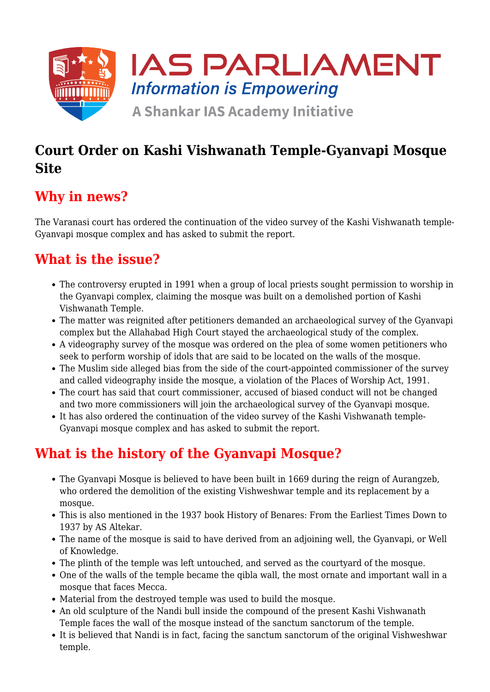

### **Court Order on Kashi Vishwanath Temple-Gyanvapi Mosque Site**

## **Why in news?**

The Varanasi court has ordered the continuation of the video survey of the Kashi Vishwanath temple-Gyanvapi mosque complex and has asked to submit the report.

# **What is the issue?**

- The controversy erupted in 1991 when a group of local priests sought permission to worship in the Gyanvapi complex, claiming the mosque was built on a demolished portion of Kashi Vishwanath Temple.
- The matter was reignited after petitioners demanded an archaeological survey of the Gyanvapi complex but the Allahabad High Court stayed the archaeological study of the complex.
- A videography survey of the mosque was ordered on the plea of some women petitioners who seek to perform worship of idols that are said to be located on the walls of the mosque.
- The Muslim side alleged bias from the side of the court-appointed commissioner of the survey and called videography inside the mosque, a violation of the Places of Worship Act, 1991.
- The court has said that court commissioner, accused of biased conduct will not be changed and two more commissioners will join the archaeological survey of the Gyanvapi mosque.
- It has also ordered the continuation of the video survey of the Kashi Vishwanath temple-Gyanvapi mosque complex and has asked to submit the report.

### **What is the history of the Gyanvapi Mosque?**

- The Gyanvapi Mosque is believed to have been built in 1669 during the reign of Aurangzeb, who ordered the demolition of the existing Vishweshwar temple and its replacement by a mosque.
- This is also mentioned in the 1937 book History of Benares: From the Earliest Times Down to 1937 by AS Altekar.
- The name of the mosque is said to have derived from an adjoining well, the Gyanvapi, or Well of Knowledge.
- The plinth of the temple was left untouched, and served as the courtyard of the mosque.
- One of the walls of the temple became the qibla wall, the most ornate and important wall in a mosque that faces Mecca.
- Material from the destroyed temple was used to build the mosque.
- An old sculpture of the Nandi bull inside the compound of the present Kashi Vishwanath Temple faces the wall of the mosque instead of the sanctum sanctorum of the temple.
- It is believed that Nandi is in fact, facing the sanctum sanctorum of the original Vishweshwar temple.